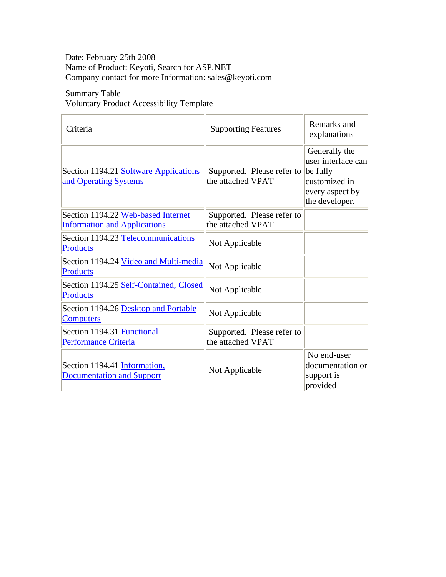## Date: February 25th 2008 Name of Product: Keyoti, Search for ASP.NET Company contact for more Information: sales@keyoti.com

## Summary Table Voluntary Product Accessibility Template

| Criteria                                                                  | <b>Supporting Features</b>                      | Remarks and<br>explanations                                                                           |
|---------------------------------------------------------------------------|-------------------------------------------------|-------------------------------------------------------------------------------------------------------|
| Section 1194.21 Software Applications<br>and Operating Systems            | Supported. Please refer to<br>the attached VPAT | Generally the<br>user interface can<br>be fully<br>customized in<br>every aspect by<br>the developer. |
| Section 1194.22 Web-based Internet<br><b>Information and Applications</b> | Supported. Please refer to<br>the attached VPAT |                                                                                                       |
| Section 1194.23 Telecommunications<br>Products                            | Not Applicable                                  |                                                                                                       |
| Section 1194.24 Video and Multi-media<br><b>Products</b>                  | Not Applicable                                  |                                                                                                       |
| Section 1194.25 Self-Contained, Closed<br><b>Products</b>                 | Not Applicable                                  |                                                                                                       |
| Section 1194.26 Desktop and Portable<br><b>Computers</b>                  | Not Applicable                                  |                                                                                                       |
| Section 1194.31 Functional<br><b>Performance Criteria</b>                 | Supported. Please refer to<br>the attached VPAT |                                                                                                       |
| Section 1194.41 Information,<br><b>Documentation and Support</b>          | Not Applicable                                  | No end-user<br>documentation or<br>support is<br>provided                                             |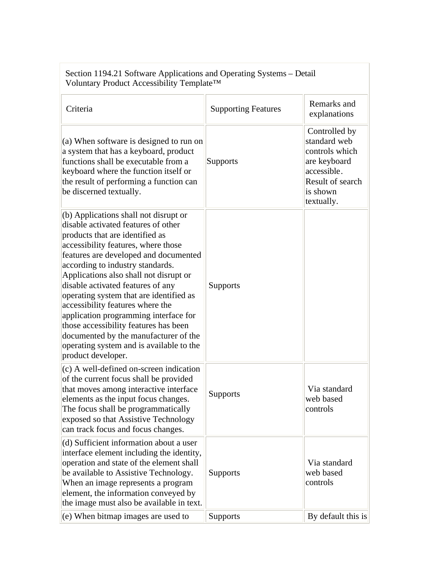| Section 1194.21 Software Applications and Operating Systems - Detail<br>Voluntary Product Accessibility Template™                                                                                                                                                                                                                                                                                                                                                                                                                                                                                  |                            |                                                                                                                              |
|----------------------------------------------------------------------------------------------------------------------------------------------------------------------------------------------------------------------------------------------------------------------------------------------------------------------------------------------------------------------------------------------------------------------------------------------------------------------------------------------------------------------------------------------------------------------------------------------------|----------------------------|------------------------------------------------------------------------------------------------------------------------------|
| Criteria                                                                                                                                                                                                                                                                                                                                                                                                                                                                                                                                                                                           | <b>Supporting Features</b> | Remarks and<br>explanations                                                                                                  |
| (a) When software is designed to run on<br>a system that has a keyboard, product<br>functions shall be executable from a<br>keyboard where the function itself or<br>the result of performing a function can<br>be discerned textually.                                                                                                                                                                                                                                                                                                                                                            | <b>Supports</b>            | Controlled by<br>standard web<br>controls which<br>are keyboard<br>accessible.<br>Result of search<br>is shown<br>textually. |
| $ $ (b) Applications shall not disrupt or<br>disable activated features of other<br>products that are identified as<br>accessibility features, where those<br>features are developed and documented<br>according to industry standards.<br>Applications also shall not disrupt or<br>disable activated features of any<br>operating system that are identified as<br>accessibility features where the<br>application programming interface for<br>those accessibility features has been<br>documented by the manufacturer of the<br>operating system and is available to the<br>product developer. | Supports                   |                                                                                                                              |
| $(c)$ A well-defined on-screen indication<br>of the current focus shall be provided<br>that moves among interactive interface<br>elements as the input focus changes.<br>The focus shall be programmatically<br>exposed so that Assistive Technology<br>can track focus and focus changes.                                                                                                                                                                                                                                                                                                         | Supports                   | Via standard<br>web based<br>controls                                                                                        |
| (d) Sufficient information about a user<br>interface element including the identity,<br>operation and state of the element shall<br>be available to Assistive Technology.<br>When an image represents a program<br>element, the information conveyed by<br>the image must also be available in text.                                                                                                                                                                                                                                                                                               | <b>Supports</b>            | Via standard<br>web based<br>controls                                                                                        |
| $(e)$ When bitmap images are used to                                                                                                                                                                                                                                                                                                                                                                                                                                                                                                                                                               | Supports                   | By default this is                                                                                                           |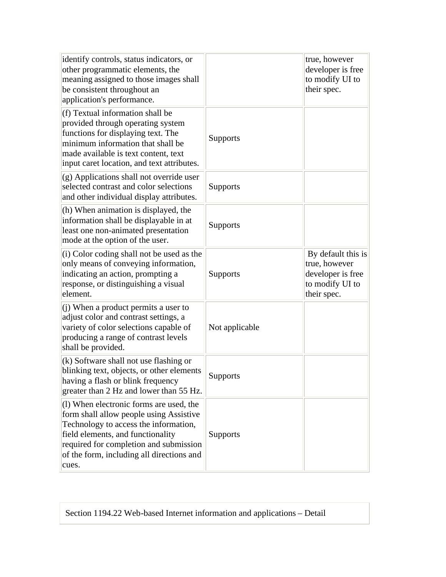| identify controls, status indicators, or<br>other programmatic elements, the<br>meaning assigned to those images shall<br>be consistent throughout an<br>application's performance.                                                                              |                 | true, however<br>developer is free<br>to modify UI to<br>their spec.                       |
|------------------------------------------------------------------------------------------------------------------------------------------------------------------------------------------------------------------------------------------------------------------|-----------------|--------------------------------------------------------------------------------------------|
| (f) Textual information shall be<br>provided through operating system<br>functions for displaying text. The<br>minimum information that shall be<br>made available is text content, text<br>input caret location, and text attributes.                           | <b>Supports</b> |                                                                                            |
| $(g)$ Applications shall not override user<br>selected contrast and color selections<br>and other individual display attributes.                                                                                                                                 | <b>Supports</b> |                                                                                            |
| (h) When animation is displayed, the<br>information shall be displayable in at<br>least one non-animated presentation<br>mode at the option of the user.                                                                                                         | <b>Supports</b> |                                                                                            |
| (i) Color coding shall not be used as the<br>only means of conveying information,<br>indicating an action, prompting a<br>response, or distinguishing a visual<br>element.                                                                                       | <b>Supports</b> | By default this is<br>true, however<br>developer is free<br>to modify UI to<br>their spec. |
| (j) When a product permits a user to<br>adjust color and contrast settings, a<br>variety of color selections capable of<br>producing a range of contrast levels<br>shall be provided.                                                                            | Not applicable  |                                                                                            |
| $(k)$ Software shall not use flashing or<br>blinking text, objects, or other elements<br>having a flash or blink frequency<br>greater than 2 Hz and lower than 55 Hz.                                                                                            | Supports        |                                                                                            |
| (1) When electronic forms are used, the<br>form shall allow people using Assistive<br>Technology to access the information,<br>field elements, and functionality<br>required for completion and submission<br>of the form, including all directions and<br>cues. | <b>Supports</b> |                                                                                            |

Section 1194.22 Web-based Internet information and applications – Detail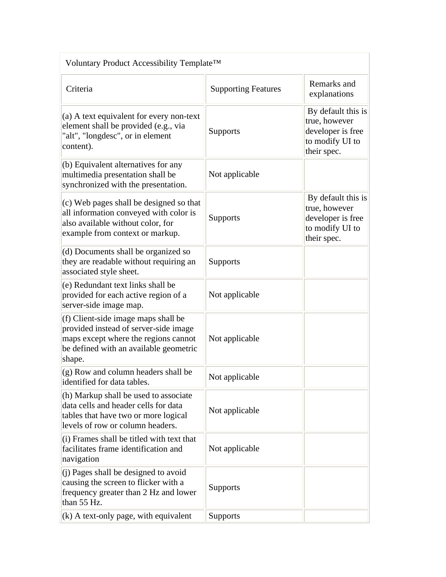| Voluntary Product Accessibility Template <sup>™</sup>                                                                                                                    |                            |                                                                                            |
|--------------------------------------------------------------------------------------------------------------------------------------------------------------------------|----------------------------|--------------------------------------------------------------------------------------------|
| Criteria                                                                                                                                                                 | <b>Supporting Features</b> | Remarks and<br>explanations                                                                |
| (a) A text equivalent for every non-text<br>element shall be provided (e.g., via<br>"alt", "longdesc", or in element<br>content).                                        | <b>Supports</b>            | By default this is<br>true, however<br>developer is free<br>to modify UI to<br>their spec. |
| (b) Equivalent alternatives for any<br>multimedia presentation shall be<br>synchronized with the presentation.                                                           | Not applicable             |                                                                                            |
| (c) Web pages shall be designed so that<br>all information conveyed with color is<br>also available without color, for<br>example from context or markup.                | Supports                   | By default this is<br>true, however<br>developer is free<br>to modify UI to<br>their spec. |
| (d) Documents shall be organized so<br>they are readable without requiring an<br>associated style sheet.                                                                 | <b>Supports</b>            |                                                                                            |
| (e) Redundant text links shall be<br>provided for each active region of a<br>server-side image map.                                                                      | Not applicable             |                                                                                            |
| (f) Client-side image maps shall be<br>provided instead of server-side image<br>maps except where the regions cannot<br>be defined with an available geometric<br>shape. | Not applicable             |                                                                                            |
| (g) Row and column headers shall be<br>identified for data tables.                                                                                                       | Not applicable             |                                                                                            |
| (h) Markup shall be used to associate<br>data cells and header cells for data<br>tables that have two or more logical<br>levels of row or column headers.                | Not applicable             |                                                                                            |
| (i) Frames shall be titled with text that<br>facilitates frame identification and<br>navigation                                                                          | Not applicable             |                                                                                            |
| (j) Pages shall be designed to avoid<br>causing the screen to flicker with a<br>frequency greater than 2 Hz and lower<br>than 55 Hz.                                     | <b>Supports</b>            |                                                                                            |
| $(k)$ A text-only page, with equivalent                                                                                                                                  | <b>Supports</b>            |                                                                                            |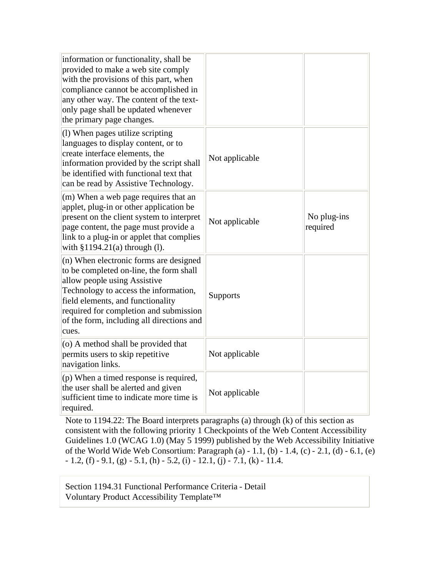| information or functionality, shall be<br>provided to make a web site comply<br>with the provisions of this part, when<br>compliance cannot be accomplished in<br>any other way. The content of the text-<br>only page shall be updated whenever<br>the primary page changes.                   |                |                         |
|-------------------------------------------------------------------------------------------------------------------------------------------------------------------------------------------------------------------------------------------------------------------------------------------------|----------------|-------------------------|
| (1) When pages utilize scripting<br>languages to display content, or to<br>create interface elements, the<br>information provided by the script shall<br>be identified with functional text that<br>can be read by Assistive Technology.                                                        | Not applicable |                         |
| (m) When a web page requires that an<br>applet, plug-in or other application be<br>present on the client system to interpret<br>page content, the page must provide a<br>link to a plug-in or applet that complies<br>with §1194.21(a) through (l).                                             | Not applicable | No plug-ins<br>required |
| (n) When electronic forms are designed<br>to be completed on-line, the form shall<br>allow people using Assistive<br>Technology to access the information,<br>field elements, and functionality<br>required for completion and submission<br>of the form, including all directions and<br>cues. | Supports       |                         |
| (o) A method shall be provided that<br>permits users to skip repetitive<br>navigation links.                                                                                                                                                                                                    | Not applicable |                         |
| (p) When a timed response is required,<br>the user shall be alerted and given<br>sufficient time to indicate more time is<br>required.                                                                                                                                                          | Not applicable |                         |

Note to 1194.22: The Board interprets paragraphs (a) through (k) of this section as consistent with the following priority 1 Checkpoints of the Web Content Accessibility Guidelines 1.0 (WCAG 1.0) (May 5 1999) published by the Web Accessibility Initiative of the World Wide Web Consortium: Paragraph (a) - 1.1, (b) - 1.4, (c) - 2.1, (d) - 6.1, (e)  $-1.2$ , (f)  $-9.1$ , (g)  $-5.1$ , (h)  $-5.2$ , (i)  $-12.1$ , (j)  $-7.1$ , (k)  $-11.4$ .

Section 1194.31 Functional Performance Criteria - Detail Voluntary Product Accessibility Template™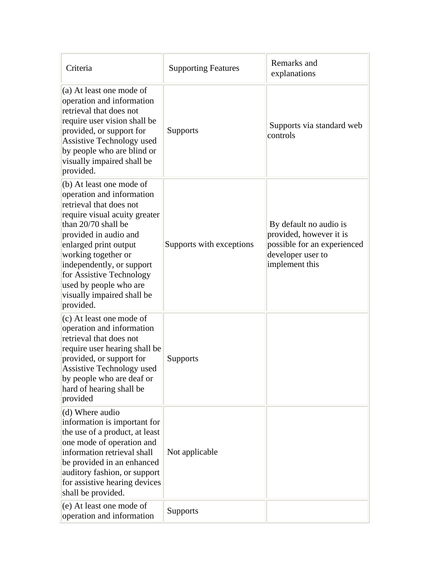| Criteria                                                                                                                                                                                                                                                                                                                                        | <b>Supporting Features</b> | Remarks and<br>explanations                                                                                             |
|-------------------------------------------------------------------------------------------------------------------------------------------------------------------------------------------------------------------------------------------------------------------------------------------------------------------------------------------------|----------------------------|-------------------------------------------------------------------------------------------------------------------------|
| $(a)$ At least one mode of<br>operation and information<br>retrieval that does not<br>require user vision shall be<br>provided, or support for<br><b>Assistive Technology used</b><br>by people who are blind or<br>visually impaired shall be<br>provided.                                                                                     | <b>Supports</b>            | Supports via standard web<br>controls                                                                                   |
| (b) At least one mode of<br>operation and information<br>retrieval that does not<br>require visual acuity greater<br>than 20/70 shall be<br>provided in audio and<br>enlarged print output<br>working together or<br>independently, or support<br>for Assistive Technology<br>used by people who are<br>visually impaired shall be<br>provided. | Supports with exceptions   | By default no audio is<br>provided, however it is<br>possible for an experienced<br>developer user to<br>implement this |
| (c) At least one mode of<br>operation and information<br>retrieval that does not<br>require user hearing shall be<br>provided, or support for<br>Assistive Technology used<br>by people who are deaf or<br>hard of hearing shall be<br>provided                                                                                                 | Supports                   |                                                                                                                         |
| (d) Where audio<br>information is important for<br>the use of a product, at least<br>one mode of operation and<br>information retrieval shall<br>be provided in an enhanced<br>auditory fashion, or support<br>for assistive hearing devices<br>shall be provided.                                                                              | Not applicable             |                                                                                                                         |
| (e) At least one mode of<br>operation and information                                                                                                                                                                                                                                                                                           | <b>Supports</b>            |                                                                                                                         |